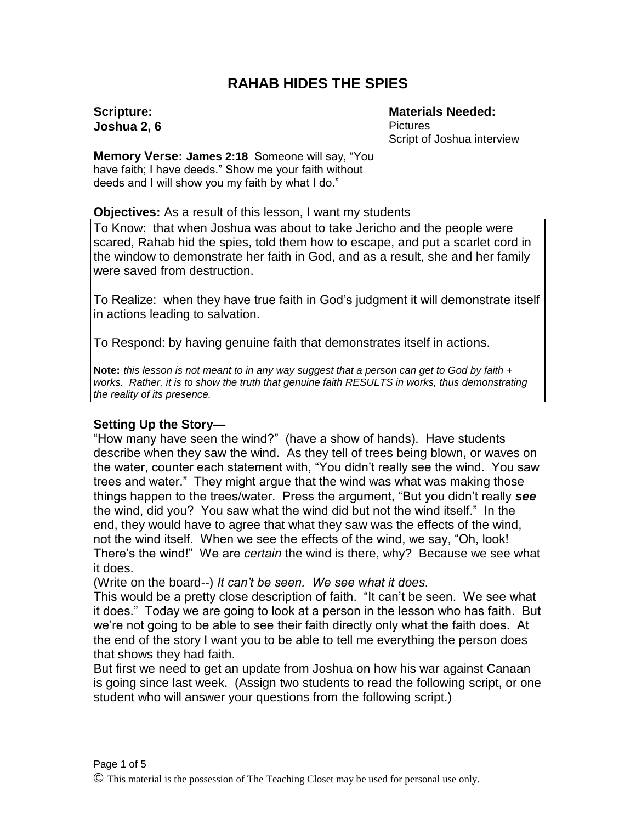# **RAHAB HIDES THE SPIES**

**Scripture: Joshua 2, 6** **Materials Needed: Pictures** Script of Joshua interview

**Memory Verse: James 2:18** Someone will say, "You have faith; I have deeds." Show me your faith without deeds and I will show you my faith by what I do."

#### **Objectives:** As a result of this lesson, I want my students

To Know: that when Joshua was about to take Jericho and the people were scared, Rahab hid the spies, told them how to escape, and put a scarlet cord in the window to demonstrate her faith in God, and as a result, she and her family were saved from destruction.

To Realize: when they have true faith in God's judgment it will demonstrate itself in actions leading to salvation.

To Respond: by having genuine faith that demonstrates itself in actions.

**Note:** *this lesson is not meant to in any way suggest that a person can get to God by faith + works. Rather, it is to show the truth that genuine faith RESULTS in works, thus demonstrating the reality of its presence.*

## **Setting Up the Story—**

"How many have seen the wind?" (have a show of hands). Have students describe when they saw the wind. As they tell of trees being blown, or waves on the water, counter each statement with, "You didn't really see the wind. You saw trees and water." They might argue that the wind was what was making those things happen to the trees/water. Press the argument, "But you didn't really *see* the wind, did you? You saw what the wind did but not the wind itself." In the end, they would have to agree that what they saw was the effects of the wind, not the wind itself. When we see the effects of the wind, we say, "Oh, look! There's the wind!" We are *certain* the wind is there, why? Because we see what it does.

(Write on the board--) *It can't be seen. We see what it does.*

This would be a pretty close description of faith. "It can't be seen. We see what it does." Today we are going to look at a person in the lesson who has faith. But we're not going to be able to see their faith directly only what the faith does. At the end of the story I want you to be able to tell me everything the person does that shows they had faith.

But first we need to get an update from Joshua on how his war against Canaan is going since last week. (Assign two students to read the following script, or one student who will answer your questions from the following script.)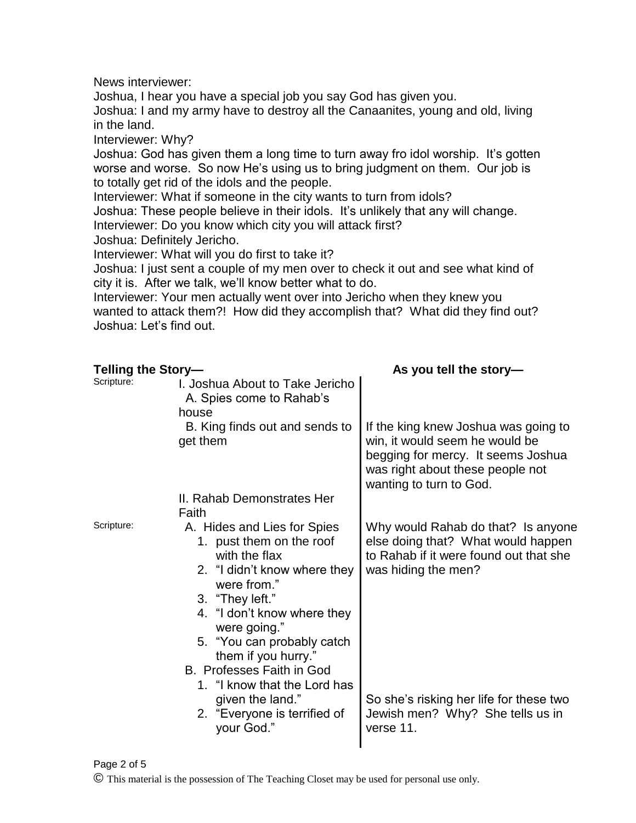News interviewer:

Joshua, I hear you have a special job you say God has given you. Joshua: I and my army have to destroy all the Canaanites, young and old, living in the land.

Interviewer: Why?

Joshua: God has given them a long time to turn away fro idol worship. It's gotten worse and worse. So now He's using us to bring judgment on them. Our job is to totally get rid of the idols and the people.

Interviewer: What if someone in the city wants to turn from idols?

Joshua: These people believe in their idols. It's unlikely that any will change. Interviewer: Do you know which city you will attack first?

Joshua: Definitely Jericho.

Interviewer: What will you do first to take it?

Joshua: I just sent a couple of my men over to check it out and see what kind of city it is. After we talk, we'll know better what to do.

Interviewer: Your men actually went over into Jericho when they knew you wanted to attack them?! How did they accomplish that? What did they find out? Joshua: Let's find out.

| <b>Telling the Story-</b> |                                                                                                                                                                                                                                                                                                                                                                          | As you tell the story-                                                                                                                                                                                                                |
|---------------------------|--------------------------------------------------------------------------------------------------------------------------------------------------------------------------------------------------------------------------------------------------------------------------------------------------------------------------------------------------------------------------|---------------------------------------------------------------------------------------------------------------------------------------------------------------------------------------------------------------------------------------|
| Scripture:                | I. Joshua About to Take Jericho<br>A. Spies come to Rahab's<br>house                                                                                                                                                                                                                                                                                                     |                                                                                                                                                                                                                                       |
|                           | B. King finds out and sends to<br>get them                                                                                                                                                                                                                                                                                                                               | If the king knew Joshua was going to<br>win, it would seem he would be<br>begging for mercy. It seems Joshua<br>was right about these people not<br>wanting to turn to God.                                                           |
|                           | II. Rahab Demonstrates Her                                                                                                                                                                                                                                                                                                                                               |                                                                                                                                                                                                                                       |
| Scripture:                | Faith<br>A. Hides and Lies for Spies<br>1. pust them on the roof<br>with the flax<br>2. "I didn't know where they<br>were from."<br>3. "They left."<br>4. "I don't know where they<br>were going."<br>5. "You can probably catch<br>them if you hurry."<br>B. Professes Faith in God<br>1. "I know that the Lord has<br>given the land."<br>2. "Everyone is terrified of | Why would Rahab do that? Is anyone<br>else doing that? What would happen<br>to Rahab if it were found out that she<br>was hiding the men?<br>So she's risking her life for these two<br>Jewish men? Why? She tells us in<br>verse 11. |
|                           | your God."                                                                                                                                                                                                                                                                                                                                                               |                                                                                                                                                                                                                                       |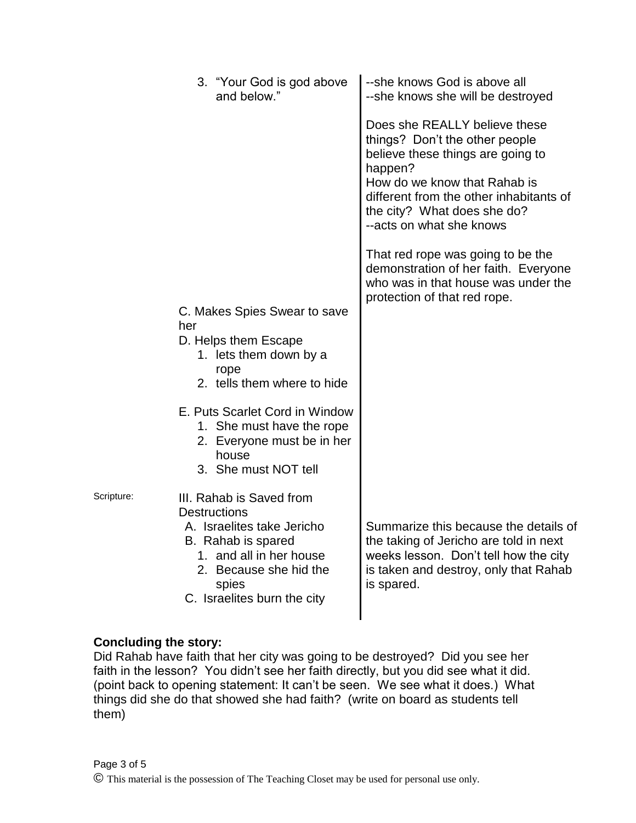| 3. "Your God is god above<br>and below."                                                                                                      | --she knows God is above all<br>--she knows she will be destroyed                                                                                                                                                                                     |
|-----------------------------------------------------------------------------------------------------------------------------------------------|-------------------------------------------------------------------------------------------------------------------------------------------------------------------------------------------------------------------------------------------------------|
|                                                                                                                                               | Does she REALLY believe these<br>things? Don't the other people<br>believe these things are going to<br>happen?<br>How do we know that Rahab is<br>different from the other inhabitants of<br>the city? What does she do?<br>--acts on what she knows |
|                                                                                                                                               | That red rope was going to be the<br>demonstration of her faith. Everyone<br>who was in that house was under the<br>protection of that red rope.                                                                                                      |
| C. Makes Spies Swear to save<br>her                                                                                                           |                                                                                                                                                                                                                                                       |
| D. Helps them Escape<br>1. lets them down by a<br>rope<br>2. tells them where to hide                                                         |                                                                                                                                                                                                                                                       |
| E. Puts Scarlet Cord in Window<br>1. She must have the rope<br>2. Everyone must be in her<br>house<br>3. She must NOT tell                    |                                                                                                                                                                                                                                                       |
| III. Rahab is Saved from<br><b>Destructions</b>                                                                                               |                                                                                                                                                                                                                                                       |
| A. Israelites take Jericho<br>B. Rahab is spared<br>1. and all in her house<br>2. Because she hid the<br>spies<br>C. Israelites burn the city | Summarize this because the details of<br>the taking of Jericho are told in next<br>weeks lesson. Don't tell how the city<br>is taken and destroy, only that Rahab<br>is spared.                                                                       |
|                                                                                                                                               |                                                                                                                                                                                                                                                       |

## **Concluding the story:**

Scripture:

Did Rahab have faith that her city was going to be destroyed? Did you see her faith in the lesson? You didn't see her faith directly, but you did see what it did. (point back to opening statement: It can't be seen. We see what it does.) What things did she do that showed she had faith? (write on board as students tell them)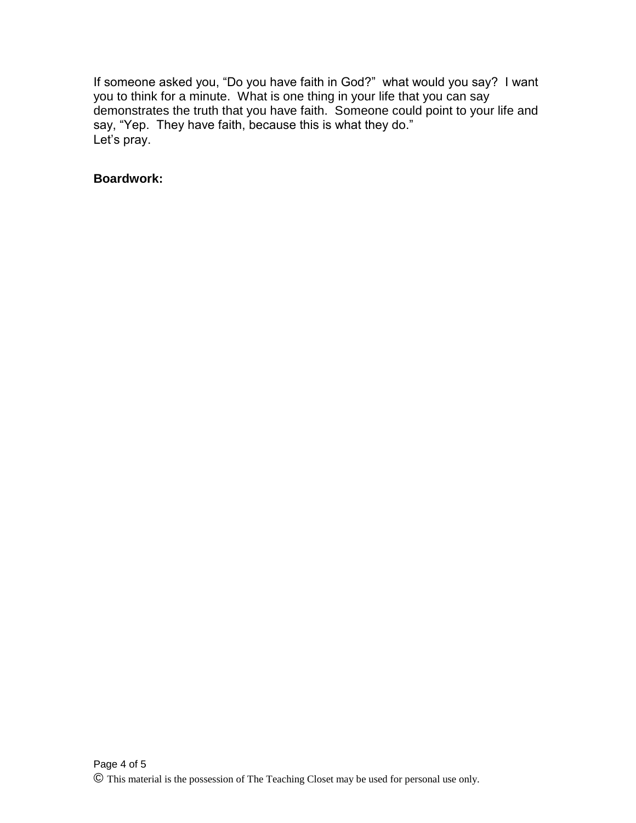If someone asked you, "Do you have faith in God?" what would you say? I want you to think for a minute. What is one thing in your life that you can say demonstrates the truth that you have faith. Someone could point to your life and say, "Yep. They have faith, because this is what they do." Let's pray.

#### **Boardwork:**